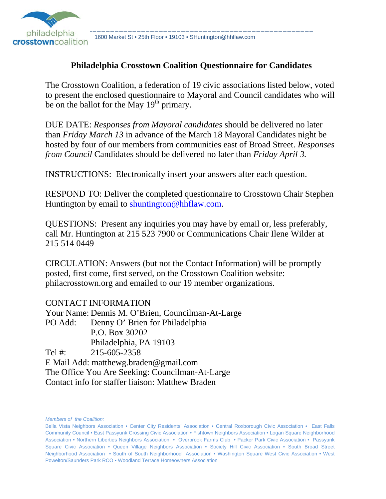

philadelphia 1600 Market St • 25th Floor • 19103 • SHuntington@hhflaw.com<br>Crosstowncoalition 1600 Market St • 25th Floor • 19103 • SHuntington@hhflaw.com

## **Philadelphia Crosstown Coalition Questionnaire for Candidates**

The Crosstown Coalition, a federation of 19 civic associations listed below, voted to present the enclosed questionnaire to Mayoral and Council candidates who will be on the ballot for the May  $19<sup>th</sup>$  primary.

DUE DATE: *Responses from Mayoral candidates* should be delivered no later than *Friday March 13* in advance of the March 18 Mayoral Candidates night be hosted by four of our members from communities east of Broad Street. *Responses from Council* Candidates should be delivered no later than *Friday April 3.*

INSTRUCTIONS: Electronically insert your answers after each question.

RESPOND TO: Deliver the completed questionnaire to Crosstown Chair Stephen Huntington by email to shuntington@hhflaw.com.

QUESTIONS: Present any inquiries you may have by email or, less preferably, call Mr. Huntington at 215 523 7900 or Communications Chair Ilene Wilder at 215 514 0449

CIRCULATION: Answers (but not the Contact Information) will be promptly posted, first come, first served, on the Crosstown Coalition website: philacrosstown.org and emailed to our 19 member organizations.

CONTACT INFORMATION Your Name: Dennis M. O'Brien, Councilman-At-Large PO Add: Denny O' Brien for Philadelphia P.O. Box 30202 Philadelphia, PA 19103 Tel #: 215-605-2358 E Mail Add: matthewg.braden@gmail.com The Office You Are Seeking: Councilman-At-Large Contact info for staffer liaison: Matthew Braden

*Members of the Coalition:*

Bella Vista Neighbors Association • Center City Residents' Association • Central Roxborough Civic Association • East Falls Community Council • East Passyunk Crossing Civic Association • Fishtown Neighbors Association • Logan Square Neighborhood Association • Northern Liberties Neighbors Association • Overbrook Farms Club • Packer Park Civic Association • Passyunk Square Civic Association • Queen Village Neighbors Association • Society Hill Civic Association • South Broad Street Neighborhood Association • South of South Neighborhood Association • Washington Square West Civic Association • West Powelton/Saunders Park RCO • Woodland Terrace Homeowners Association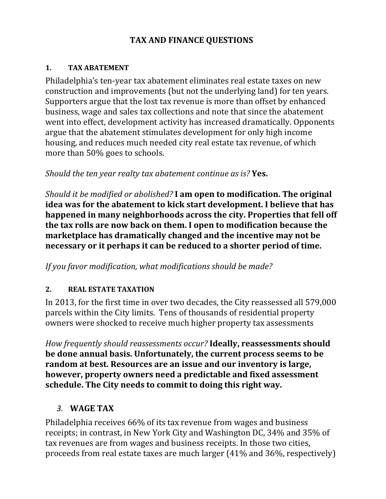# **TAX AND FINANCE QUESTIONS**

### **1. TAX ABATEMENT**

Philadelphia's ten-year tax abatement eliminates real estate taxes on new construction and improvements (but not the underlying land) for ten years. Supporters argue that the lost tax revenue is more than offset by enhanced business, wage and sales tax collections and note that since the abatement went into effect, development activity has increased dramatically. Opponents argue that the abatement stimulates development for only high income housing, and reduces much needed city real estate tax revenue, of which more than 50% goes to schools.

*Should the ten year realty tax abatement continue as is?* **Yes.**

*Should it be modified or abolished?* **I am open to modification. The original idea was for the abatement to kick start development. I believe that has happened in many neighborhoods across the city. Properties that fell off the tax rolls are now back on them. I open to modification because the marketplace has dramatically changed and the incentive may not be necessary or it perhaps it can be reduced to a shorter period of time.** 

*If you favor modification, what modifications should be made?* 

## **2. REAL ESTATE TAXATION**

In 2013, for the first time in over two decades, the City reassessed all 579,000 parcels within the City limits. Tens of thousands of residential property owners were shocked to receive much higher property tax assessments

*How frequently should reassessments occur?* **Ideally, reassessments should be done annual basis. Unfortunately, the current process seems to be random at best. Resources are an issue and our inventory is large, however, property owners need a predictable and fixed assessment schedule. The City needs to commit to doing this right way.** 

# *3.* **WAGE TAX**

Philadelphia receives 66% of its tax revenue from wages and business receipts; in contrast, in New York City and Washington DC, 34% and 35% of tax revenues are from wages and business receipts. In those two cities, proceeds from real estate taxes are much larger (41% and 36%, respectively)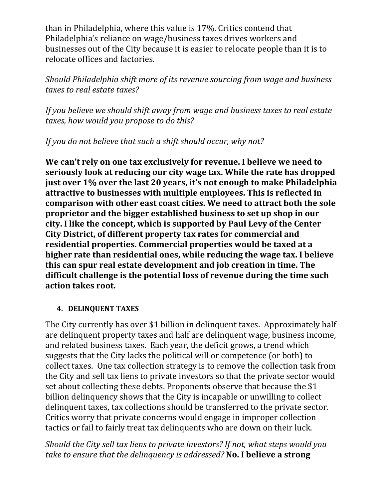than in Philadelphia, where this value is 17%. Critics contend that Philadelphia's reliance on wage/business taxes drives workers and businesses out of the City because it is easier to relocate people than it is to relocate offices and factories.

*Should Philadelphia shift more of its revenue sourcing from wage and business taxes to real estate taxes?* 

*If you believe we should shift away from wage and business taxes to real estate taxes, how would you propose to do this?* 

*If you do not believe that such a shift should occur, why not?* 

**We can't rely on one tax exclusively for revenue. I believe we need to seriously look at reducing our city wage tax. While the rate has dropped just over 1% over the last 20 years, it's not enough to make Philadelphia attractive to businesses with multiple employees. This is reflected in comparison with other east coast cities. We need to attract both the sole proprietor and the bigger established business to set up shop in our city. I like the concept, which is supported by Paul Levy of the Center City District, of different property tax rates for commercial and residential properties. Commercial properties would be taxed at a higher rate than residential ones, while reducing the wage tax. I believe this can spur real estate development and job creation in time. The difficult challenge is the potential loss of revenue during the time such action takes root.**

### **4. DELINQUENT TAXES**

The City currently has over \$1 billion in delinquent taxes. Approximately half are delinquent property taxes and half are delinquent wage, business income, and related business taxes. Each year, the deficit grows, a trend which suggests that the City lacks the political will or competence (or both) to collect taxes. One tax collection strategy is to remove the collection task from the City and sell tax liens to private investors so that the private sector would set about collecting these debts. Proponents observe that because the \$1 billion delinquency shows that the City is incapable or unwilling to collect delinquent taxes, tax collections should be transferred to the private sector. Critics worry that private concerns would engage in improper collection tactics or fail to fairly treat tax delinquents who are down on their luck.

*Should the City sell tax liens to private investors? If not, what steps would you take to ensure that the delinquency is addressed?* **No. I believe a strong**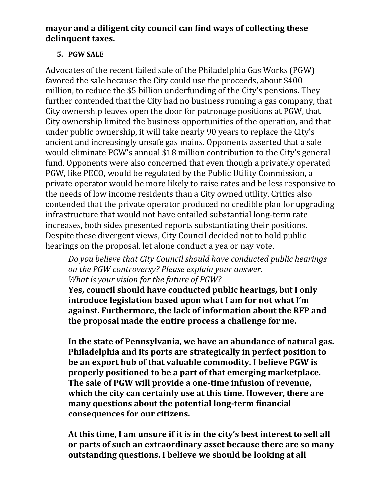## **mayor and a diligent city council can find ways of collecting these delinquent taxes.**

## **5. PGW SALE**

Advocates of the recent failed sale of the Philadelphia Gas Works (PGW) favored the sale because the City could use the proceeds, about \$400 million, to reduce the \$5 billion underfunding of the City's pensions. They further contended that the City had no business running a gas company, that City ownership leaves open the door for patronage positions at PGW, that City ownership limited the business opportunities of the operation, and that under public ownership, it will take nearly 90 years to replace the City's ancient and increasingly unsafe gas mains. Opponents asserted that a sale would eliminate PGW's annual \$18 million contribution to the City's general fund. Opponents were also concerned that even though a privately operated PGW, like PECO, would be regulated by the Public Utility Commission, a private operator would be more likely to raise rates and be less responsive to the needs of low income residents than a City owned utility. Critics also contended that the private operator produced no credible plan for upgrading infrastructure that would not have entailed substantial long-term rate increases, both sides presented reports substantiating their positions. Despite these divergent views, City Council decided not to hold public hearings on the proposal, let alone conduct a yea or nay vote.

*Do you believe that City Council should have conducted public hearings on the PGW controversy? Please explain your answer. What is your vision for the future of PGW?* 

**Yes, council should have conducted public hearings, but I only introduce legislation based upon what I am for not what I'm against. Furthermore, the lack of information about the RFP and the proposal made the entire process a challenge for me.** 

**In the state of Pennsylvania, we have an abundance of natural gas. Philadelphia and its ports are strategically in perfect position to be an export hub of that valuable commodity. I believe PGW is properly positioned to be a part of that emerging marketplace. The sale of PGW will provide a one‐time infusion of revenue, which the city can certainly use at this time. However, there are many questions about the potential long‐term financial consequences for our citizens.**

**At this time, I am unsure if it is in the city's best interest to sell all or parts of such an extraordinary asset because there are so many outstanding questions. I believe we should be looking at all**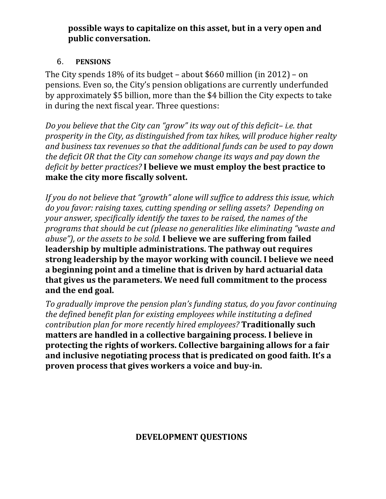## **possible ways to capitalize on this asset, but in a very open and public conversation.**

## 6. **PENSIONS**

The City spends  $18\%$  of its budget – about \$660 million (in 2012) – on pensions. Even so, the City's pension obligations are currently underfunded by approximately \$5 billion, more than the \$4 billion the City expects to take in during the next fiscal year. Three questions:

*Do you believe that the City can "grow" its way out of this deficit– i.e. that prosperity in the City, as distinguished from tax hikes, will produce higher realty and business tax revenues so that the additional funds can be used to pay down the deficit OR that the City can somehow change its ways and pay down the deficit by better practices?* **I believe we must employ the best practice to make the city more fiscally solvent.**

*If you do not believe that "growth" alone will suffice to address this issue, which do you favor: raising taxes, cutting spending or selling assets? Depending on your answer, specifically identify the taxes to be raised, the names of the programs that should be cut (please no generalities like eliminating "waste and abuse"), or the assets to be sold.* **I believe we are suffering from failed leadership by multiple administrations. The pathway out requires strong leadership by the mayor working with council. I believe we need a beginning point and a timeline that is driven by hard actuarial data that gives us the parameters. We need full commitment to the process and the end goal.**

*To gradually improve the pension plan's funding status, do you favor continuing the defined benefit plan for existing employees while instituting a defined contribution plan for more recently hired employees?* **Traditionally such matters are handled in a collective bargaining process. I believe in protecting the rights of workers. Collective bargaining allows for a fair and inclusive negotiating process that is predicated on good faith. It's a proven process that gives workers a voice and buy‐in.**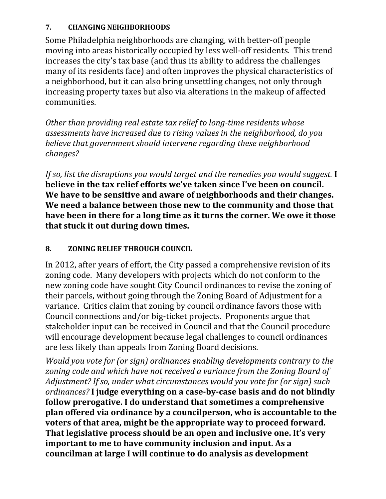### **7. CHANGING NEIGHBORHOODS**

Some Philadelphia neighborhoods are changing, with better-off people moving into areas historically occupied by less well-off residents. This trend increases the city's tax base (and thus its ability to address the challenges many of its residents face) and often improves the physical characteristics of a neighborhood, but it can also bring unsettling changes, not only through increasing property taxes but also via alterations in the makeup of affected communities. 

*Other than providing real estate tax relief to long‐time residents whose assessments have increased due to rising values in the neighborhood, do you believe that government should intervene regarding these neighborhood changes?*

*If so, list the disruptions you would target and the remedies you would suggest.* **I believe in the tax relief efforts we've taken since I've been on council. We have to be sensitive and aware of neighborhoods and their changes. We need a balance between those new to the community and those that have been in there for a long time as it turns the corner. We owe it those that stuck it out during down times.**

## **8. ZONING RELIEF THROUGH COUNCIL**

In 2012, after years of effort, the City passed a comprehensive revision of its zoning code. Many developers with projects which do not conform to the new zoning code have sought City Council ordinances to revise the zoning of their parcels, without going through the Zoning Board of Adjustment for a variance. Critics claim that zoning by council ordinance favors those with Council connections and/or big-ticket projects. Proponents argue that stakeholder input can be received in Council and that the Council procedure will encourage development because legal challenges to council ordinances are less likely than appeals from Zoning Board decisions.

*Would you vote for (or sign) ordinances enabling developments contrary to the zoning code and which have not received a variance from the Zoning Board of Adjustment? If so, under what circumstances would you vote for (or sign) such ordinances?* **I judge everything on a case‐by‐case basis and do not blindly follow prerogative. I do understand that sometimes a comprehensive plan offered via ordinance by a councilperson, who is accountable to the voters of that area, might be the appropriate way to proceed forward. That legislative process should be an open and inclusive one. It's very important to me to have community inclusion and input. As a councilman at large I will continue to do analysis as development**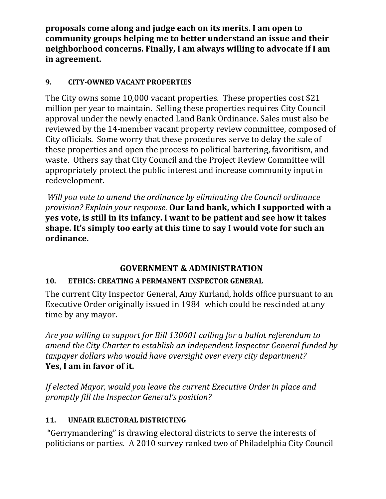**proposals come along and judge each on its merits. I am open to community groups helping me to better understand an issue and their neighborhood concerns. Finally, I am always willing to advocate if I am in agreement.**

# **9. CITY‐OWNED VACANT PROPERTIES**

The City owns some 10,000 vacant properties. These properties cost \$21 million per vear to maintain. Selling these properties requires City Council approval under the newly enacted Land Bank Ordinance. Sales must also be reviewed by the 14-member vacant property review committee, composed of City officials. Some worry that these procedures serve to delay the sale of these properties and open the process to political bartering, favoritism, and waste. Others say that City Council and the Project Review Committee will appropriately protect the public interest and increase community input in redevelopment. 

*Will you vote to amend the ordinance by eliminating the Council ordinance provision? Explain your response.* **Our land bank, which I supported with a yes vote, is still in its infancy. I want to be patient and see how it takes shape. It's simply too early at this time to say I would vote for such an ordinance.**

# **GOVERNMENT & ADMINISTRATION**

# **10. ETHICS: CREATING A PERMANENT INSPECTOR GENERAL**

The current City Inspector General, Amy Kurland, holds office pursuant to an Executive Order originally issued in 1984 which could be rescinded at any time by any mayor.

*Are you willing to support for Bill 130001 calling for a ballot referendum to amend the City Charter to establish an independent Inspector General funded by taxpayer dollars who would have oversight over every city department?*  **Yes, I am in favor of it.** 

*If elected Mayor, would you leave the current Executive Order in place and promptly fill the Inspector General's position?*

## 11. **UNFAIR ELECTORAL DISTRICTING**

"Gerrymandering" is drawing electoral districts to serve the interests of politicians or parties. A 2010 survey ranked two of Philadelphia City Council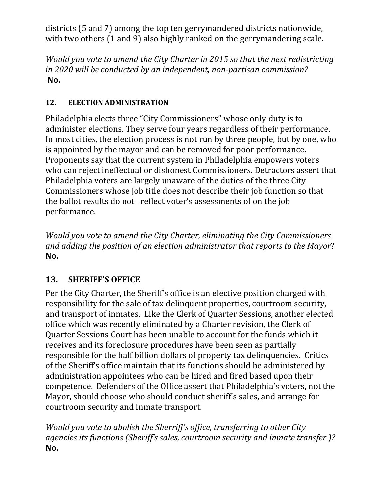districts (5 and 7) among the top ten gerrymandered districts nationwide, with two others  $(1 \text{ and } 9)$  also highly ranked on the gerrymandering scale.

*Would you vote to amend the City Charter in 2015 so that the next redistricting in 2020 will be conducted by an independent, non‐partisan commission?* **No.**

# 12. **ELECTION ADMINISTRATION**

Philadelphia elects three "City Commissioners" whose only duty is to administer elections. They serve four years regardless of their performance. In most cities, the election process is not run by three people, but by one, who is appointed by the mayor and can be removed for poor performance. Proponents say that the current system in Philadelphia empowers voters who can reject ineffectual or dishonest Commissioners. Detractors assert that Philadelphia voters are largely unaware of the duties of the three City Commissioners whose job title does not describe their job function so that the ballot results do not reflect voter's assessments of on the job performance. 

*Would you vote to amend the City Charter, eliminating the City Commissioners and adding the position of an election administrator that reports to the Mayor*? **No.**

# 13. **SHERIFF'S OFFICE**

Per the City Charter, the Sheriff's office is an elective position charged with responsibility for the sale of tax delinquent properties, courtroom security, and transport of inmates. Like the Clerk of Quarter Sessions, another elected office which was recently eliminated by a Charter revision, the Clerk of Quarter Sessions Court has been unable to account for the funds which it receives and its foreclosure procedures have been seen as partially responsible for the half billion dollars of property tax delinquencies. Critics of the Sheriff's office maintain that its functions should be administered by administration appointees who can be hired and fired based upon their competence. Defenders of the Office assert that Philadelphia's voters, not the Mayor, should choose who should conduct sheriff's sales, and arrange for courtroom security and inmate transport.

*Would you vote to abolish the Sherriff's office, transferring to other City agencies its functions (Sheriff's sales, courtroom security and inmate transfer )?* **No.**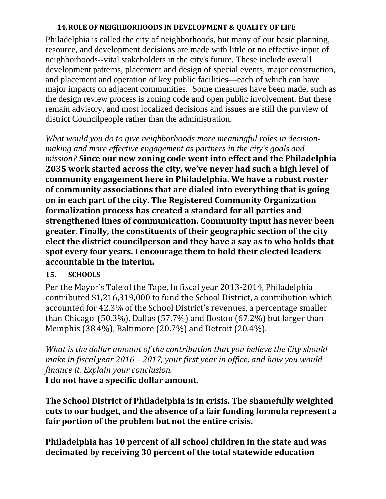### **14.ROLE OF NEIGHBORHOODS IN DEVELOPMENT & QUALITY OF LIFE**

Philadelphia is called the city of neighborhoods, but many of our basic planning, resource, and development decisions are made with little or no effective input of neighborhoods--vital stakeholders in the city's future. These include overall development patterns, placement and design of special events, major construction, and placement and operation of key public facilities—each of which can have major impacts on adjacent communities. Some measures have been made, such as the design review process is zoning code and open public involvement. But these remain advisory, and most localized decisions and issues are still the purview of district Councilpeople rather than the administration.

*What would you do to give neighborhoods more meaningful roles in decisionmaking and more effective engagement as partners in the city's goals and mission?* **Since our new zoning code went into effect and the Philadelphia 2035 work started across the city, we've never had such a high level of community engagement here in Philadelphia. We have a robust roster of community associations that are dialed into everything that is going on in each part of the city. The Registered Community Organization formalization process has created a standard for all parties and strengthened lines of communication. Community input has never been greater. Finally, the constituents of their geographic section of the city elect the district councilperson and they have a say as to who holds that spot every four years. I encourage them to hold their elected leaders accountable in the interim.**

## **15. SCHOOLS**

Per the Mayor's Tale of the Tape, In fiscal year 2013-2014, Philadelphia contributed \$1,216,319,000 to fund the School District, a contribution which accounted for 42.3% of the School District's revenues, a percentage smaller than Chicago  $(50.3\%)$ , Dallas  $(57.7\%)$  and Boston  $(67.2\%)$  but larger than Memphis (38.4%), Baltimore (20.7%) and Detroit (20.4%).

*What is the dollar amount of the contribution that you believe the City should make in fiscal year 2016 – 2017, your first year in office, and how you would finance it. Explain your conclusion.*

**I do not have a specific dollar amount.**

**The School District of Philadelphia is in crisis. The shamefully weighted cuts to our budget, and the absence of a fair funding formula represent a fair portion of the problem but not the entire crisis.** 

**Philadelphia has 10 percent of all school children in the state and was decimated by receiving 30 percent of the total statewide education**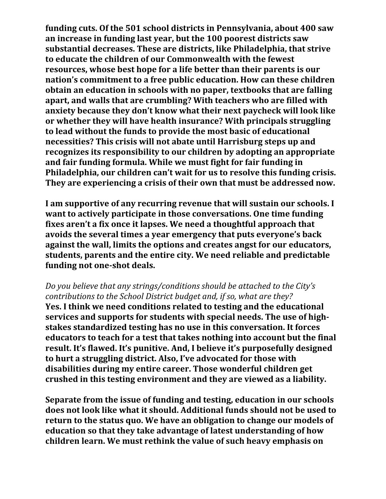**funding cuts. Of the 501 school districts in Pennsylvania, about 400 saw an increase in funding last year, but the 100 poorest districts saw substantial decreases. These are districts, like Philadelphia, that strive to educate the children of our Commonwealth with the fewest resources, whose best hope for a life better than their parents is our nation's commitment to a free public education. How can these children obtain an education in schools with no paper, textbooks that are falling apart, and walls that are crumbling? With teachers who are filled with anxiety because they don't know what their next paycheck will look like or whether they will have health insurance? With principals struggling to lead without the funds to provide the most basic of educational necessities? This crisis will not abate until Harrisburg steps up and recognizes its responsibility to our children by adopting an appropriate and fair funding formula. While we must fight for fair funding in Philadelphia, our children can't wait for us to resolve this funding crisis. They are experiencing a crisis of their own that must be addressed now.** 

**I am supportive of any recurring revenue that will sustain our schools. I want to actively participate in those conversations. One time funding fixes aren't a fix once it lapses. We need a thoughtful approach that avoids the several times a year emergency that puts everyone's back against the wall, limits the options and creates angst for our educators, students, parents and the entire city. We need reliable and predictable funding not one‐shot deals.**

### *Do you believe that any strings/conditions should be attached to the City's contributions to the School District budget and, if so, what are they?*

**Yes. I think we need conditions related to testing and the educational services and supports for students with special needs. The use of high‐ stakes standardized testing has no use in this conversation. It forces educators to teach for a test that takes nothing into account but the final result. It's flawed. It's punitive. And, I believe it's purposefully designed to hurt a struggling district. Also, I've advocated for those with disabilities during my entire career. Those wonderful children get crushed in this testing environment and they are viewed as a liability.**

**Separate from the issue of funding and testing, education in our schools does not look like what it should. Additional funds should not be used to return to the status quo. We have an obligation to change our models of education so that they take advantage of latest understanding of how children learn. We must rethink the value of such heavy emphasis on**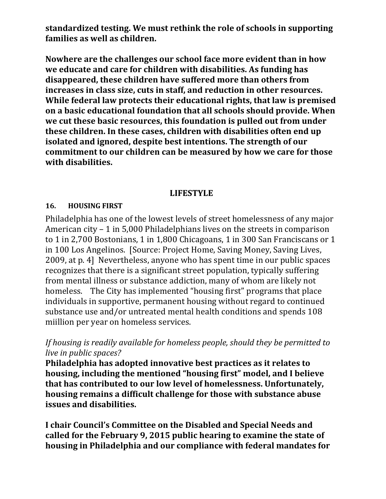**standardized testing. We must rethink the role of schools in supporting families as well as children.** 

**Nowhere are the challenges our school face more evident than in how we educate and care for children with disabilities. As funding has disappeared, these children have suffered more than others from increases in class size, cuts in staff, and reduction in other resources. While federal law protects their educational rights, that law is premised on a basic educational foundation that all schools should provide. When we cut these basic resources, this foundation is pulled out from under these children. In these cases, children with disabilities often end up isolated and ignored, despite best intentions. The strength of our commitment to our children can be measured by how we care for those with disabilities.** 

### **LIFESTYLE**

### **16. HOUSING FIRST**

Philadelphia has one of the lowest levels of street homelessness of any major American city  $-1$  in 5,000 Philadelphians lives on the streets in comparison to 1 in 2,700 Bostonians, 1 in 1,800 Chicagoans, 1 in 300 San Franciscans or 1 in 100 Los Angelinos. [Source: Project Home, Saving Money, Saving Lives, 2009, at p. 4] Nevertheless, anyone who has spent time in our public spaces recognizes that there is a significant street population, typically suffering from mental illness or substance addiction, many of whom are likely not homeless. The City has implemented "housing first" programs that place individuals in supportive, permanent housing without regard to continued substance use and/or untreated mental health conditions and spends 108 miillion per year on homeless services.

## *If housing is readily available for homeless people, should they be permitted to live in public spaces?*

**Philadelphia has adopted innovative best practices as it relates to housing, including the mentioned "housing first" model, and I believe that has contributed to our low level of homelessness. Unfortunately, housing remains a difficult challenge for those with substance abuse issues and disabilities.** 

**I chair Council's Committee on the Disabled and Special Needs and called for the February 9, 2015 public hearing to examine the state of housing in Philadelphia and our compliance with federal mandates for**